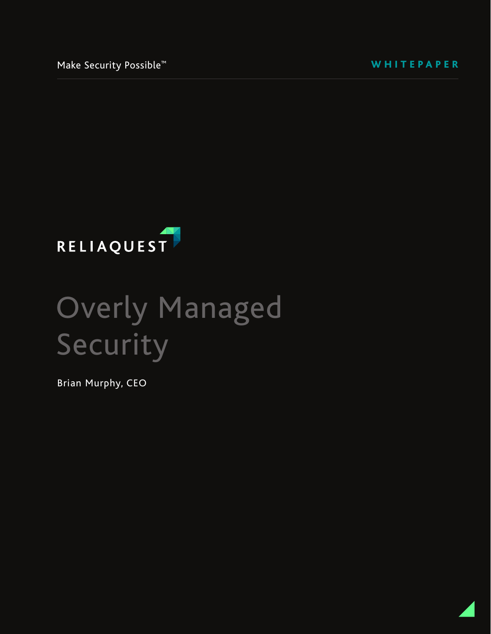WHITEPAPER



# Overly Managed Security

Brian Murphy, CEO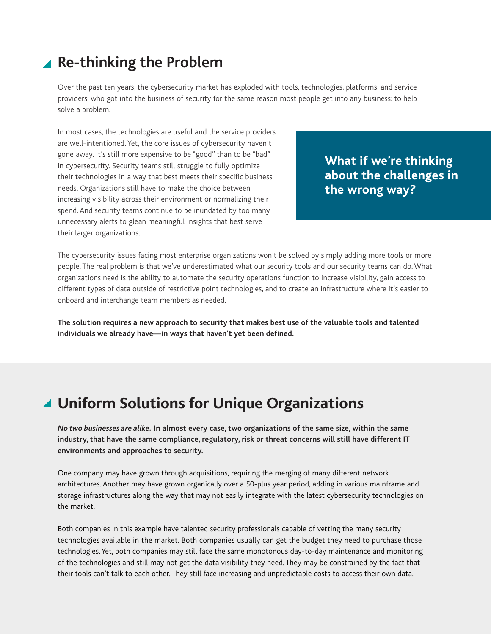### **Re-thinking the Problem**

Over the past ten years, the cybersecurity market has exploded with tools, technologies, platforms, and service providers, who got into the business of security for the same reason most people get into any business: to help solve a problem.

In most cases, the technologies are useful and the service providers are well-intentioned. Yet, the core issues of cybersecurity haven't gone away. It's still more expensive to be "good" than to be "bad" in cybersecurity. Security teams still struggle to fully optimize their technologies in a way that best meets their specific business needs. Organizations still have to make the choice between increasing visibility across their environment or normalizing their spend. And security teams continue to be inundated by too many unnecessary alerts to glean meaningful insights that best serve their larger organizations.

**What if we're thinking about the challenges in the wrong way?**

The cybersecurity issues facing most enterprise organizations won't be solved by simply adding more tools or more people. The real problem is that we've underestimated what our security tools and our security teams can do. What organizations need is the ability to automate the security operations function to increase visibility, gain access to different types of data outside of restrictive point technologies, and to create an infrastructure where it's easier to onboard and interchange team members as needed.

**The solution requires a new approach to security that makes best use of the valuable tools and talented individuals we already have—in ways that haven't yet been defined.** 

### **Uniform Solutions for Unique Organizations**

*No two businesses are alike.* **In almost every case, two organizations of the same size, within the same industry, that have the same compliance, regulatory, risk or threat concerns will still have different IT environments and approaches to security.** 

One company may have grown through acquisitions, requiring the merging of many different network architectures. Another may have grown organically over a 50-plus year period, adding in various mainframe and storage infrastructures along the way that may not easily integrate with the latest cybersecurity technologies on the market.

Both companies in this example have talented security professionals capable of vetting the many security technologies available in the market. Both companies usually can get the budget they need to purchase those technologies. Yet, both companies may still face the same monotonous day-to-day maintenance and monitoring of the technologies and still may not get the data visibility they need. They may be constrained by the fact that their tools can't talk to each other. They still face increasing and unpredictable costs to access their own data.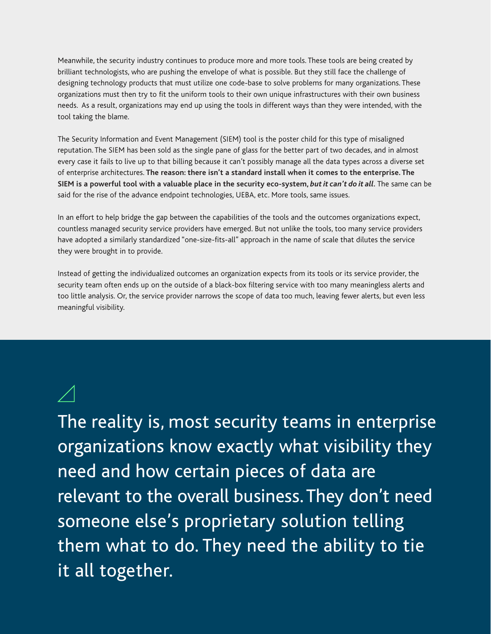Meanwhile, the security industry continues to produce more and more tools. These tools are being created by brilliant technologists, who are pushing the envelope of what is possible. But they still face the challenge of designing technology products that must utilize one code-base to solve problems for many organizations. These organizations must then try to fit the uniform tools to their own unique infrastructures with their own business needs. As a result, organizations may end up using the tools in different ways than they were intended, with the tool taking the blame.

The Security Information and Event Management (SIEM) tool is the poster child for this type of misaligned reputation. The SIEM has been sold as the single pane of glass for the better part of two decades, and in almost every case it fails to live up to that billing because it can't possibly manage all the data types across a diverse set of enterprise architectures. **The reason: there isn't a standard install when it comes to the enterprise. The SIEM is a powerful tool with a valuable place in the security eco-system,** *but it can't do it all.* The same can be said for the rise of the advance endpoint technologies, UEBA, etc. More tools, same issues.

In an effort to help bridge the gap between the capabilities of the tools and the outcomes organizations expect, countless managed security service providers have emerged. But not unlike the tools, too many service providers have adopted a similarly standardized "one-size-fits-all" approach in the name of scale that dilutes the service they were brought in to provide.

Instead of getting the individualized outcomes an organization expects from its tools or its service provider, the security team often ends up on the outside of a black-box filtering service with too many meaningless alerts and too little analysis. Or, the service provider narrows the scope of data too much, leaving fewer alerts, but even less meaningful visibility.

The reality is, most security teams in enterprise organizations know exactly what visibility they need and how certain pieces of data are relevant to the overall business. They don't need someone else's proprietary solution telling them what to do. They need the ability to tie it all together.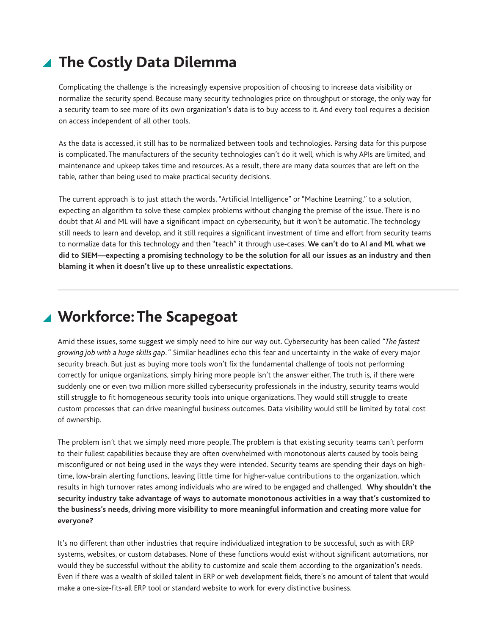# ▲ The Costly Data Dilemma

Complicating the challenge is the increasingly expensive proposition of choosing to increase data visibility or normalize the security spend. Because many security technologies price on throughput or storage, the only way for a security team to see more of its own organization's data is to buy access to it. And every tool requires a decision on access independent of all other tools.

As the data is accessed, it still has to be normalized between tools and technologies. Parsing data for this purpose is complicated. The manufacturers of the security technologies can't do it well, which is why APIs are limited, and maintenance and upkeep takes time and resources. As a result, there are many data sources that are left on the table, rather than being used to make practical security decisions.

The current approach is to just attach the words, "Artificial Intelligence" or "Machine Learning," to a solution, expecting an algorithm to solve these complex problems without changing the premise of the issue. There is no doubt that AI and ML will have a significant impact on cybersecurity, but it won't be automatic. The technology still needs to learn and develop, and it still requires a significant investment of time and effort from security teams to normalize data for this technology and then "teach" it through use-cases. **We can't do to AI and ML what we did to SIEM—expecting a promising technology to be the solution for all our issues as an industry and then blaming it when it doesn't live up to these unrealistic expectations.** 

# **Workforce: The Scapegoat**

Amid these issues, some suggest we simply need to hire our way out. Cybersecurity has been called *"The fastest growing job with a huge skills gap."* Similar headlines echo this fear and uncertainty in the wake of every major security breach. But just as buying more tools won't fix the fundamental challenge of tools not performing correctly for unique organizations, simply hiring more people isn't the answer either. The truth is, if there were suddenly one or even two million more skilled cybersecurity professionals in the industry, security teams would still struggle to fit homogeneous security tools into unique organizations. They would still struggle to create custom processes that can drive meaningful business outcomes. Data visibility would still be limited by total cost of ownership.

The problem isn't that we simply need more people. The problem is that existing security teams can't perform to their fullest capabilities because they are often overwhelmed with monotonous alerts caused by tools being misconfigured or not being used in the ways they were intended. Security teams are spending their days on hightime, low-brain alerting functions, leaving little time for higher-value contributions to the organization, which results in high turnover rates among individuals who are wired to be engaged and challenged. **Why shouldn't the security industry take advantage of ways to automate monotonous activities in a way that's customized to the business's needs, driving more visibility to more meaningful information and creating more value for everyone?** 

It's no different than other industries that require individualized integration to be successful, such as with ERP systems, websites, or custom databases. None of these functions would exist without significant automations, nor would they be successful without the ability to customize and scale them according to the organization's needs. Even if there was a wealth of skilled talent in ERP or web development fields, there's no amount of talent that would make a one-size-fits-all ERP tool or standard website to work for every distinctive business.